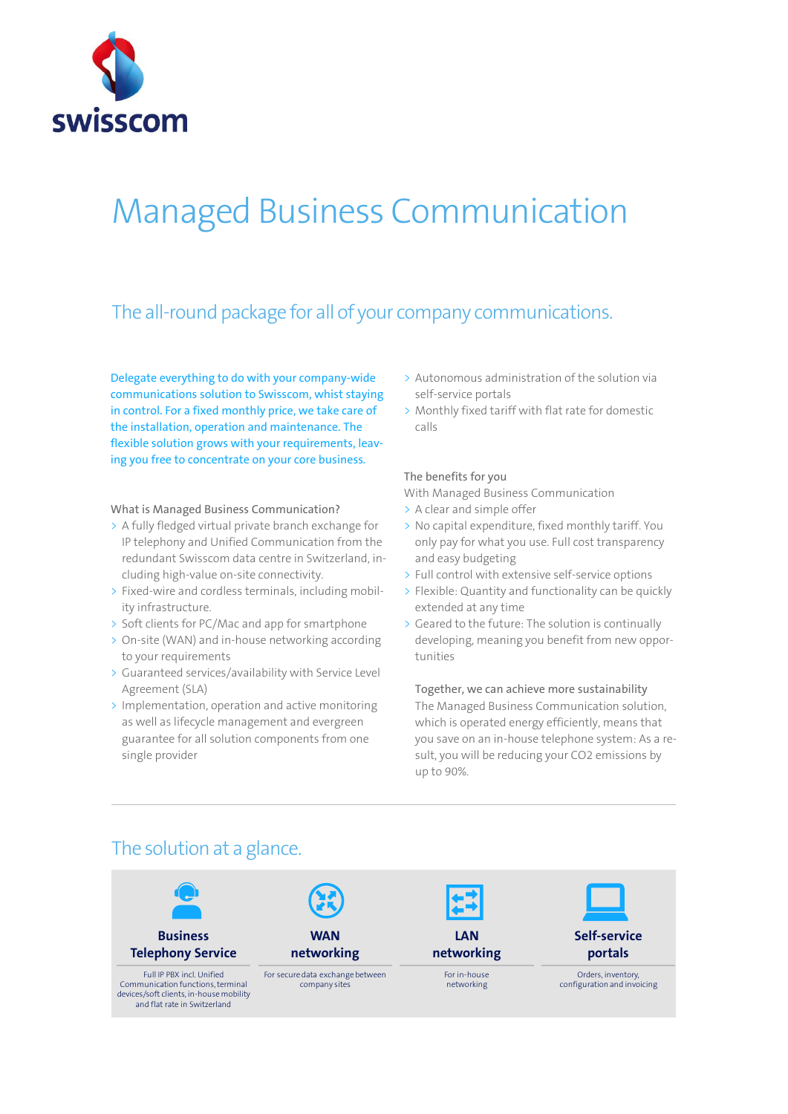

# Managed Business Communication

### The all-round package for all of your company communications.

Delegate everything to do with your company-wide communications solution to Swisscom, whist staying in control. For a fixed monthly price, we take care of the installation, operation and maintenance. The flexible solution grows with your requirements, leaving you free to concentrate on your core business*.*

#### What is Managed Business Communication?

- > A fully fledged virtual private branch exchange for IP telephony and Unified Communication from the redundant Swisscom data centre in Switzerland, including high-value on-site connectivity.
- > Fixed-wire and cordless terminals, including mobility infrastructure.
- > Soft clients for PC/Mac and app for smartphone
- > On-site (WAN) and in-house networking according to your requirements
- > Guaranteed services/availability with Service Level Agreement (SLA)
- > Implementation, operation and active monitoring as well as lifecycle management and evergreen guarantee for all solution components from one single provider
- > Autonomous administration of the solution via self-service portals
- > Monthly fixed tariff with flat rate for domestic calls

#### The benefits for you

With Managed Business Communication

- > A clear and simple offer
- > No capital expenditure, fixed monthly tariff. You only pay for what you use. Full cost transparency and easy budgeting
- > Full control with extensive self-service options
- > Flexible: Quantity and functionality can be quickly extended at any time
- > Geared to the future: The solution is continually developing, meaning you benefit from new opportunities

#### Together, we can achieve more sustainability

The Managed Business Communication solution, which is operated energy efficiently, means that you save on an in-house telephone system: As a result, you will be reducing your CO2 emissions by up to 90%.



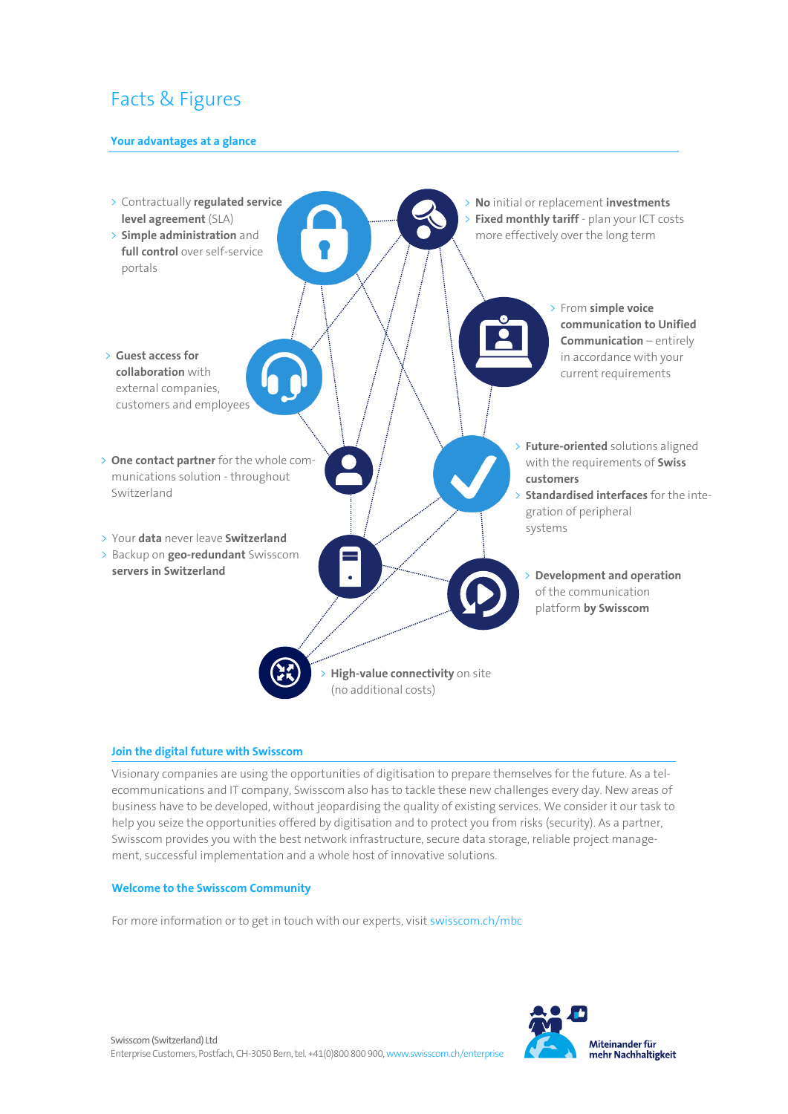## Facts & Figures

#### **Your advantages at a glance**



#### **Join the digital future with Swisscom**

Visionary companies are using the opportunities of digitisation to prepare themselves for the future. As a telecommunications and IT company, Swisscom also has to tackle these new challenges every day. New areas of business have to be developed, without jeopardising the quality of existing services. We consider it our task to help you seize the opportunities offered by digitisation and to protect you from risks (security). As a partner, Swisscom provides you with the best network infrastructure, secure data storage, reliable project management, successful implementation and a whole host of innovative solutions.

#### **Welcome to the Swisscom Community**

For more information or to get in touch with our experts, visi[t swisscom.ch/mbc](https://www.swisscom.ch/de/business/enterprise/angebot/communication-and-collaboration/communication-and-collaboration/managed-business-communication.html)